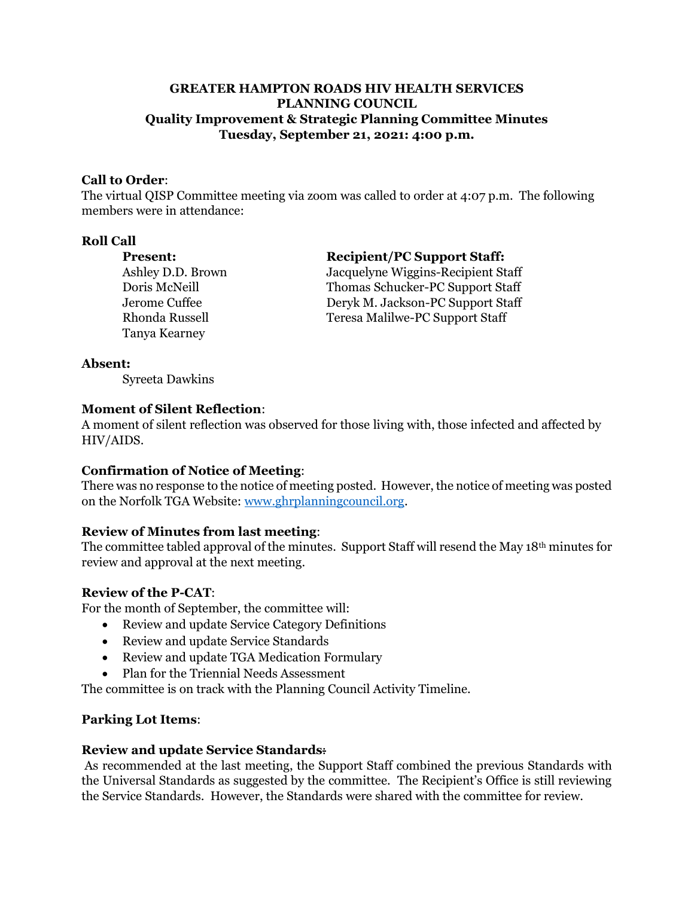## **GREATER HAMPTON ROADS HIV HEALTH SERVICES PLANNING COUNCIL Quality Improvement & Strategic Planning Committee Minutes Tuesday, September 21, 2021: 4:00 p.m.**

## **Call to Order**:

The virtual QISP Committee meeting via zoom was called to order at 4:07 p.m. The following members were in attendance:

#### **Roll Call**

Tanya Kearney

#### **Present: Recipient/PC Support Staff:**

Ashley D.D. Brown Jacquelyne Wiggins-Recipient Staff Doris McNeill Thomas Schucker-PC Support Staff Jerome Cuffee Deryk M. Jackson-PC Support Staff Rhonda Russell Teresa Malilwe-PC Support Staff

#### **Absent:**

Syreeta Dawkins

#### **Moment of Silent Reflection**:

A moment of silent reflection was observed for those living with, those infected and affected by HIV/AIDS.

## **Confirmation of Notice of Meeting**:

There was no response to the notice of meeting posted. However, the notice of meeting was posted on the Norfolk TGA Website[: www.ghrplanningcouncil.org.](http://www.ghrplanningcouncil.org/)

## **Review of Minutes from last meeting**:

The committee tabled approval of the minutes. Support Staff will resend the May  $18<sup>th</sup>$  minutes for review and approval at the next meeting.

## **Review of the P-CAT**:

For the month of September, the committee will:

- Review and update Service Category Definitions
- Review and update Service Standards
- Review and update TGA Medication Formulary
- Plan for the Triennial Needs Assessment

The committee is on track with the Planning Council Activity Timeline.

# **Parking Lot Items**:

## **Review and update Service Standards**:

As recommended at the last meeting, the Support Staff combined the previous Standards with the Universal Standards as suggested by the committee. The Recipient's Office is still reviewing the Service Standards. However, the Standards were shared with the committee for review.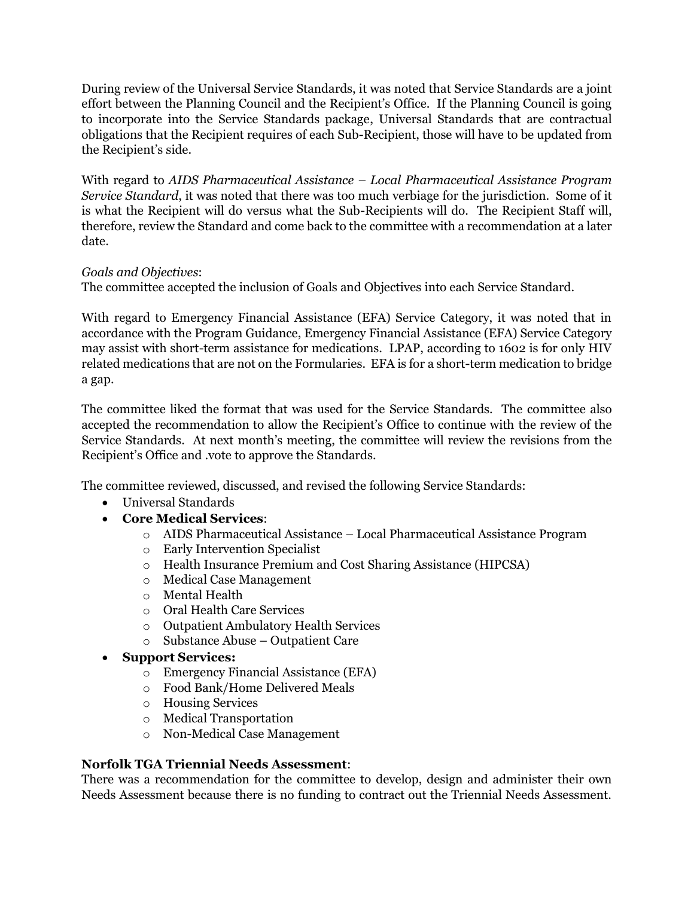During review of the Universal Service Standards, it was noted that Service Standards are a joint effort between the Planning Council and the Recipient's Office. If the Planning Council is going to incorporate into the Service Standards package, Universal Standards that are contractual obligations that the Recipient requires of each Sub-Recipient, those will have to be updated from the Recipient's side.

With regard to *AIDS Pharmaceutical Assistance – Local Pharmaceutical Assistance Program Service Standard*, it was noted that there was too much verbiage for the jurisdiction. Some of it is what the Recipient will do versus what the Sub-Recipients will do. The Recipient Staff will, therefore, review the Standard and come back to the committee with a recommendation at a later date.

## *Goals and Objectives*:

The committee accepted the inclusion of Goals and Objectives into each Service Standard.

With regard to Emergency Financial Assistance (EFA) Service Category, it was noted that in accordance with the Program Guidance, Emergency Financial Assistance (EFA) Service Category may assist with short-term assistance for medications. LPAP, according to 1602 is for only HIV related medications that are not on the Formularies. EFA is for a short-term medication to bridge a gap.

The committee liked the format that was used for the Service Standards. The committee also accepted the recommendation to allow the Recipient's Office to continue with the review of the Service Standards. At next month's meeting, the committee will review the revisions from the Recipient's Office and .vote to approve the Standards.

The committee reviewed, discussed, and revised the following Service Standards:

- Universal Standards
- **Core Medical Services**:
	- o AIDS Pharmaceutical Assistance Local Pharmaceutical Assistance Program
	- o Early Intervention Specialist
	- o Health Insurance Premium and Cost Sharing Assistance (HIPCSA)
	- o Medical Case Management
	- o Mental Health
	- o Oral Health Care Services
	- o Outpatient Ambulatory Health Services
	- o Substance Abuse Outpatient Care
- **Support Services:**
	- o Emergency Financial Assistance (EFA)
	- o Food Bank/Home Delivered Meals
	- o Housing Services
	- o Medical Transportation
	- o Non-Medical Case Management

## **Norfolk TGA Triennial Needs Assessment**:

There was a recommendation for the committee to develop, design and administer their own Needs Assessment because there is no funding to contract out the Triennial Needs Assessment.